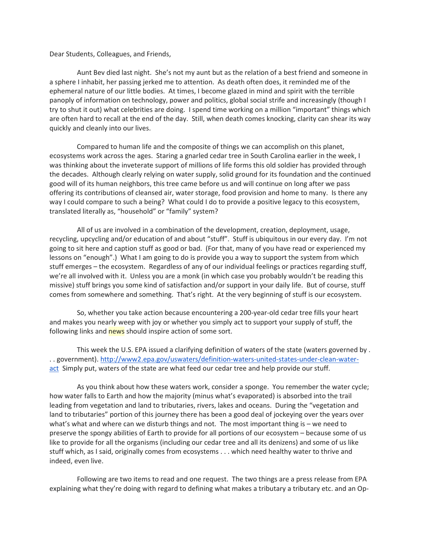Dear Students, Colleagues, and Friends,

 Aunt Bev died last night. She's not my aunt but as the relation of a best friend and someone in a sphere I inhabit, her passing jerked me to attention. As death often does, it reminded me of the ephemeral nature of our little bodies. At times, I become glazed in mind and spirit with the terrible panoply of information on technology, power and politics, global social strife and increasingly (though I try to shut it out) what celebrities are doing. I spend time working on a million "important" things which are often hard to recall at the end of the day. Still, when death comes knocking, clarity can shear its way quickly and cleanly into our lives.

 Compared to human life and the composite of things we can accomplish on this planet, ecosystems work across the ages. Staring a gnarled cedar tree in South Carolina earlier in the week, I was thinking about the inveterate support of millions of life forms this old soldier has provided through the decades. Although clearly relying on water supply, solid ground for its foundation and the continued good will of its human neighbors, this tree came before us and will continue on long after we pass offering its contributions of cleansed air, water storage, food provision and home to many. Is there any way I could compare to such a being? What could I do to provide a positive legacy to this ecosystem, translated literally as, "household" or "family" system?

 All of us are involved in a combination of the development, creation, deployment, usage, recycling, upcycling and/or education of and about "stuff". Stuff is ubiquitous in our every day. I'm not going to sit here and caption stuff as good or bad. (For that, many of you have read or experienced my lessons on "enough".) What I am going to do is provide you a way to support the system from which stuff emerges – the ecosystem. Regardless of any of our individual feelings or practices regarding stuff, we're all involved with it. Unless you are a monk (in which case you probably wouldn't be reading this missive) stuff brings you some kind of satisfaction and/or support in your daily life. But of course, stuff comes from somewhere and something. That's right. At the very beginning of stuff is our ecosystem.

 So, whether you take action because encountering a 200-year-old cedar tree fills your heart and makes you nearly weep with joy or whether you simply act to support your supply of stuff, the following links and news should inspire action of some sort.

 This week the U.S. EPA issued a clarifying definition of waters of the state (waters governed by . .. government). http://www2.epa.gov/uswaters/definition-waters-united-states-under-clean-wateract Simply put, waters of the state are what feed our cedar tree and help provide our stuff.

 As you think about how these waters work, consider a sponge. You remember the water cycle; how water falls to Earth and how the majority (minus what's evaporated) is absorbed into the trail leading from vegetation and land to tributaries, rivers, lakes and oceans. During the "vegetation and land to tributaries" portion of this journey there has been a good deal of jockeying over the years over what's what and where can we disturb things and not. The most important thing is – we need to preserve the spongy abilities of Earth to provide for all portions of our ecosystem – because some of us like to provide for all the organisms (including our cedar tree and all its denizens) and some of us like stuff which, as I said, originally comes from ecosystems . . . which need healthy water to thrive and indeed, even live.

 Following are two items to read and one request. The two things are a press release from EPA explaining what they're doing with regard to defining what makes a tributary a tributary etc. and an Op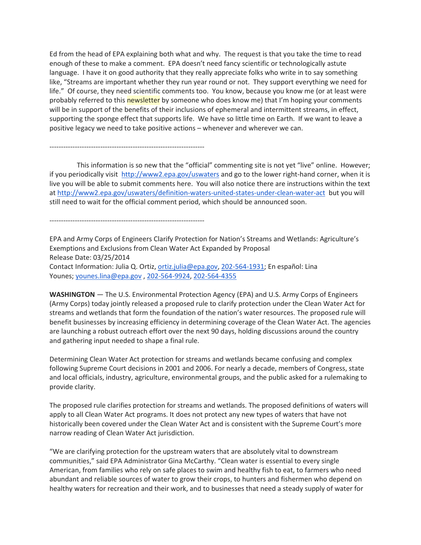Ed from the head of EPA explaining both what and why. The request is that you take the time to read enough of these to make a comment. EPA doesn't need fancy scientific or technologically astute language. I have it on good authority that they really appreciate folks who write in to say something like, "Streams are important whether they run year round or not. They support everything we need for life." Of course, they need scientific comments too. You know, because you know me (or at least were probably referred to this newsletter by someone who does know me) that I'm hoping your comments will be in support of the benefits of their inclusions of ephemeral and intermittent streams, in effect, supporting the sponge effect that supports life. We have so little time on Earth. If we want to leave a positive legacy we need to take positive actions – whenever and wherever we can.

 This information is so new that the "official" commenting site is not yet "live" online. However; if you periodically visit http://www2.epa.gov/uswaters and go to the lower right-hand corner, when it is live you will be able to submit comments here. You will also notice there are instructions within the text at http://www2.epa.gov/uswaters/definition-waters-united-states-under-clean-water-act but you will still need to wait for the official comment period, which should be announced soon.

-------------------------------------------------------------------

-------------------------------------------------------------------

EPA and Army Corps of Engineers Clarify Protection for Nation's Streams and Wetlands: Agriculture's Exemptions and Exclusions from Clean Water Act Expanded by Proposal Release Date: 03/25/2014 Contact Information: Julia Q. Ortiz, ortiz.julia@epa.gov, 202-564-1931; En español: Lina Younes; younes.lina@epa.gov , 202-564-9924, 202-564-4355

WASHINGTON — The U.S. Environmental Protection Agency (EPA) and U.S. Army Corps of Engineers (Army Corps) today jointly released a proposed rule to clarify protection under the Clean Water Act for streams and wetlands that form the foundation of the nation's water resources. The proposed rule will benefit businesses by increasing efficiency in determining coverage of the Clean Water Act. The agencies are launching a robust outreach effort over the next 90 days, holding discussions around the country and gathering input needed to shape a final rule.

Determining Clean Water Act protection for streams and wetlands became confusing and complex following Supreme Court decisions in 2001 and 2006. For nearly a decade, members of Congress, state and local officials, industry, agriculture, environmental groups, and the public asked for a rulemaking to provide clarity.

The proposed rule clarifies protection for streams and wetlands. The proposed definitions of waters will apply to all Clean Water Act programs. It does not protect any new types of waters that have not historically been covered under the Clean Water Act and is consistent with the Supreme Court's more narrow reading of Clean Water Act jurisdiction.

"We are clarifying protection for the upstream waters that are absolutely vital to downstream communities," said EPA Administrator Gina McCarthy. "Clean water is essential to every single American, from families who rely on safe places to swim and healthy fish to eat, to farmers who need abundant and reliable sources of water to grow their crops, to hunters and fishermen who depend on healthy waters for recreation and their work, and to businesses that need a steady supply of water for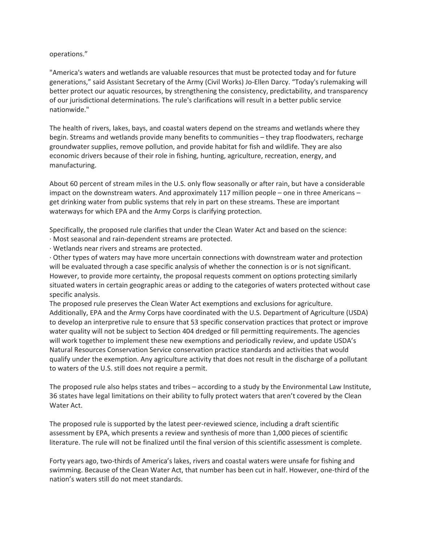## operations."

"America's waters and wetlands are valuable resources that must be protected today and for future generations," said Assistant Secretary of the Army (Civil Works) Jo-Ellen Darcy. "Today's rulemaking will better protect our aquatic resources, by strengthening the consistency, predictability, and transparency of our jurisdictional determinations. The rule's clarifications will result in a better public service nationwide."

The health of rivers, lakes, bays, and coastal waters depend on the streams and wetlands where they begin. Streams and wetlands provide many benefits to communities – they trap floodwaters, recharge groundwater supplies, remove pollution, and provide habitat for fish and wildlife. They are also economic drivers because of their role in fishing, hunting, agriculture, recreation, energy, and manufacturing.

About 60 percent of stream miles in the U.S. only flow seasonally or after rain, but have a considerable impact on the downstream waters. And approximately 117 million people – one in three Americans – get drinking water from public systems that rely in part on these streams. These are important waterways for which EPA and the Army Corps is clarifying protection.

Specifically, the proposed rule clarifies that under the Clean Water Act and based on the science:

- · Most seasonal and rain-dependent streams are protected.
- · Wetlands near rivers and streams are protected.

· Other types of waters may have more uncertain connections with downstream water and protection will be evaluated through a case specific analysis of whether the connection is or is not significant. However, to provide more certainty, the proposal requests comment on options protecting similarly situated waters in certain geographic areas or adding to the categories of waters protected without case specific analysis.

The proposed rule preserves the Clean Water Act exemptions and exclusions for agriculture. Additionally, EPA and the Army Corps have coordinated with the U.S. Department of Agriculture (USDA) to develop an interpretive rule to ensure that 53 specific conservation practices that protect or improve water quality will not be subject to Section 404 dredged or fill permitting requirements. The agencies will work together to implement these new exemptions and periodically review, and update USDA's Natural Resources Conservation Service conservation practice standards and activities that would qualify under the exemption. Any agriculture activity that does not result in the discharge of a pollutant to waters of the U.S. still does not require a permit.

The proposed rule also helps states and tribes – according to a study by the Environmental Law Institute, 36 states have legal limitations on their ability to fully protect waters that aren't covered by the Clean Water Act.

The proposed rule is supported by the latest peer-reviewed science, including a draft scientific assessment by EPA, which presents a review and synthesis of more than 1,000 pieces of scientific literature. The rule will not be finalized until the final version of this scientific assessment is complete.

Forty years ago, two-thirds of America's lakes, rivers and coastal waters were unsafe for fishing and swimming. Because of the Clean Water Act, that number has been cut in half. However, one-third of the nation's waters still do not meet standards.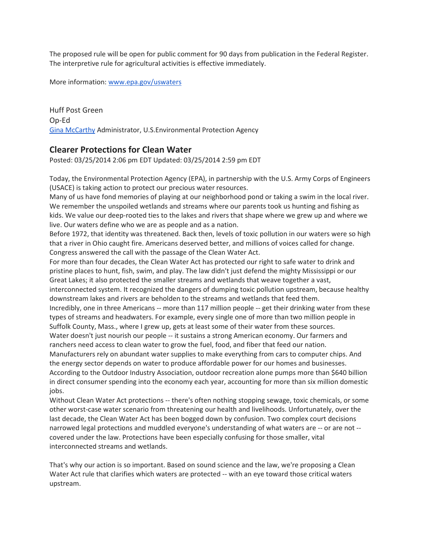The proposed rule will be open for public comment for 90 days from publication in the Federal Register. The interpretive rule for agricultural activities is effective immediately.

More information: www.epa.gov/uswaters

Huff Post Green Op-Ed Gina McCarthy Administrator, U.S.Environmental Protection Agency

## Clearer Protections for Clean Water

Posted: 03/25/2014 2:06 pm EDT Updated: 03/25/2014 2:59 pm EDT

Today, the Environmental Protection Agency (EPA), in partnership with the U.S. Army Corps of Engineers (USACE) is taking action to protect our precious water resources.

Many of us have fond memories of playing at our neighborhood pond or taking a swim in the local river. We remember the unspoiled wetlands and streams where our parents took us hunting and fishing as kids. We value our deep-rooted ties to the lakes and rivers that shape where we grew up and where we live. Our waters define who we are as people and as a nation.

Before 1972, that identity was threatened. Back then, levels of toxic pollution in our waters were so high that a river in Ohio caught fire. Americans deserved better, and millions of voices called for change. Congress answered the call with the passage of the Clean Water Act.

For more than four decades, the Clean Water Act has protected our right to safe water to drink and pristine places to hunt, fish, swim, and play. The law didn't just defend the mighty Mississippi or our Great Lakes; it also protected the smaller streams and wetlands that weave together a vast, interconnected system. It recognized the dangers of dumping toxic pollution upstream, because healthy downstream lakes and rivers are beholden to the streams and wetlands that feed them. Incredibly, one in three Americans -- more than 117 million people -- get their drinking water from these

types of streams and headwaters. For example, every single one of more than two million people in Suffolk County, Mass., where I grew up, gets at least some of their water from these sources. Water doesn't just nourish our people -- it sustains a strong American economy. Our farmers and

ranchers need access to clean water to grow the fuel, food, and fiber that feed our nation. Manufacturers rely on abundant water supplies to make everything from cars to computer chips. And the energy sector depends on water to produce affordable power for our homes and businesses. According to the Outdoor Industry Association, outdoor recreation alone pumps more than \$640 billion in direct consumer spending into the economy each year, accounting for more than six million domestic jobs.

Without Clean Water Act protections -- there's often nothing stopping sewage, toxic chemicals, or some other worst-case water scenario from threatening our health and livelihoods. Unfortunately, over the last decade, the Clean Water Act has been bogged down by confusion. Two complex court decisions narrowed legal protections and muddled everyone's understanding of what waters are -- or are not - covered under the law. Protections have been especially confusing for those smaller, vital interconnected streams and wetlands.

That's why our action is so important. Based on sound science and the law, we're proposing a Clean Water Act rule that clarifies which waters are protected -- with an eye toward those critical waters upstream.